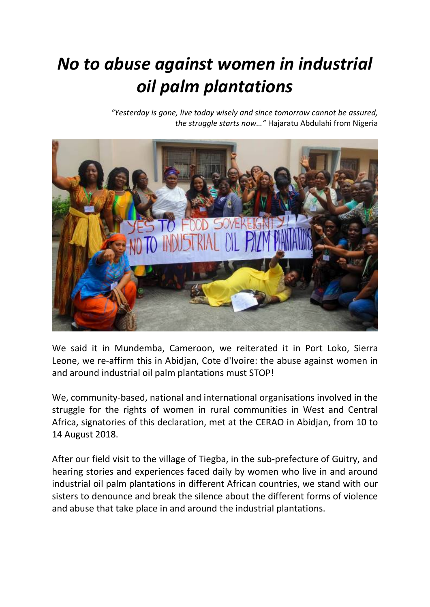## *No to abuse against women in industrial oil palm plantations*

*"Yesterday is gone, live today wisely and since tomorrow cannot be assured, the struggle starts now…"* Hajaratu Abdulahi from Nigeria



We said it in Mundemba, Cameroon, we reiterated it in Port Loko, Sierra Leone, we re-affirm this in Abidjan, Cote d'Ivoire: the abuse against women in and around industrial oil palm plantations must STOP!

We, community-based, national and international organisations involved in the struggle for the rights of women in rural communities in West and Central Africa, signatories of this declaration, met at the CERAO in Abidjan, from 10 to 14 August 2018.

After our field visit to the village of Tiegba, in the sub-prefecture of Guitry, and hearing stories and experiences faced daily by women who live in and around industrial oil palm plantations in different African countries, we stand with our sisters to denounce and break the silence about the different forms of violence and abuse that take place in and around the industrial plantations.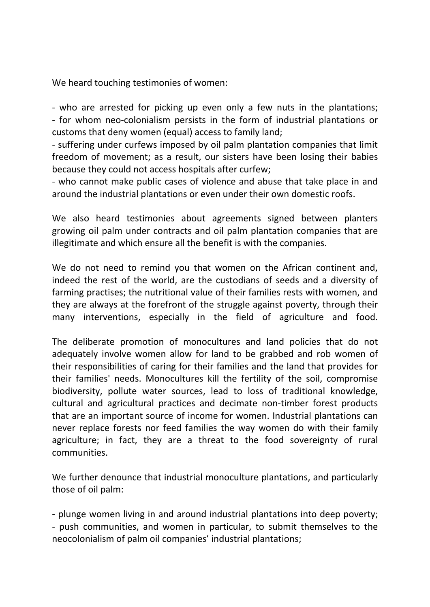We heard touching testimonies of women:

- who are arrested for picking up even only a few nuts in the plantations; - for whom neo-colonialism persists in the form of industrial plantations or customs that deny women (equal) access to family land;

- suffering under curfews imposed by oil palm plantation companies that limit freedom of movement; as a result, our sisters have been losing their babies because they could not access hospitals after curfew;

- who cannot make public cases of violence and abuse that take place in and around the industrial plantations or even under their own domestic roofs.

We also heard testimonies about agreements signed between planters growing oil palm under contracts and oil palm plantation companies that are illegitimate and which ensure all the benefit is with the companies.

We do not need to remind you that women on the African continent and, indeed the rest of the world, are the custodians of seeds and a diversity of farming practises; the nutritional value of their families rests with women, and they are always at the forefront of the struggle against poverty, through their many interventions, especially in the field of agriculture and food.

The deliberate promotion of monocultures and land policies that do not adequately involve women allow for land to be grabbed and rob women of their responsibilities of caring for their families and the land that provides for their families' needs. Monocultures kill the fertility of the soil, compromise biodiversity, pollute water sources, lead to loss of traditional knowledge, cultural and agricultural practices and decimate non-timber forest products that are an important source of income for women. Industrial plantations can never replace forests nor feed families the way women do with their family agriculture; in fact, they are a threat to the food sovereignty of rural communities.

We further denounce that industrial monoculture plantations, and particularly those of oil palm:

- plunge women living in and around industrial plantations into deep poverty; - push communities, and women in particular, to submit themselves to the neocolonialism of palm oil companies' industrial plantations;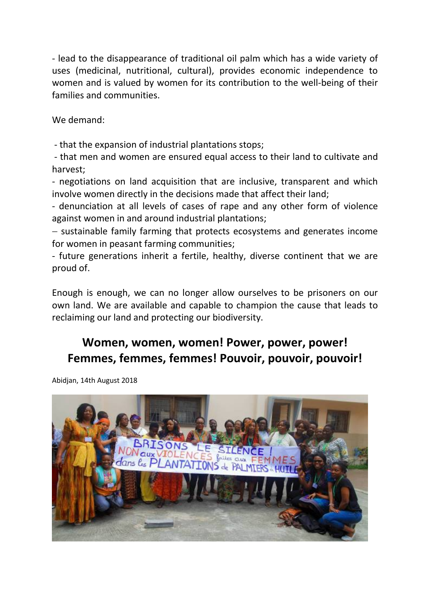- lead to the disappearance of traditional oil palm which has a wide variety of uses (medicinal, nutritional, cultural), provides economic independence to women and is valued by women for its contribution to the well-being of their families and communities.

We demand:

- that the expansion of industrial plantations stops;

- that men and women are ensured equal access to their land to cultivate and harvest;

- negotiations on land acquisition that are inclusive, transparent and which involve women directly in the decisions made that affect their land;

- denunciation at all levels of cases of rape and any other form of violence against women in and around industrial plantations;

− sustainable family farming that protects ecosystems and generates income for women in peasant farming communities;

- future generations inherit a fertile, healthy, diverse continent that we are proud of.

Enough is enough, we can no longer allow ourselves to be prisoners on our own land. We are available and capable to champion the cause that leads to reclaiming our land and protecting our biodiversity.

## **Women, women, women! Power, power, power! Femmes, femmes, femmes! Pouvoir, pouvoir, pouvoir!**

Abidjan, 14th August 2018